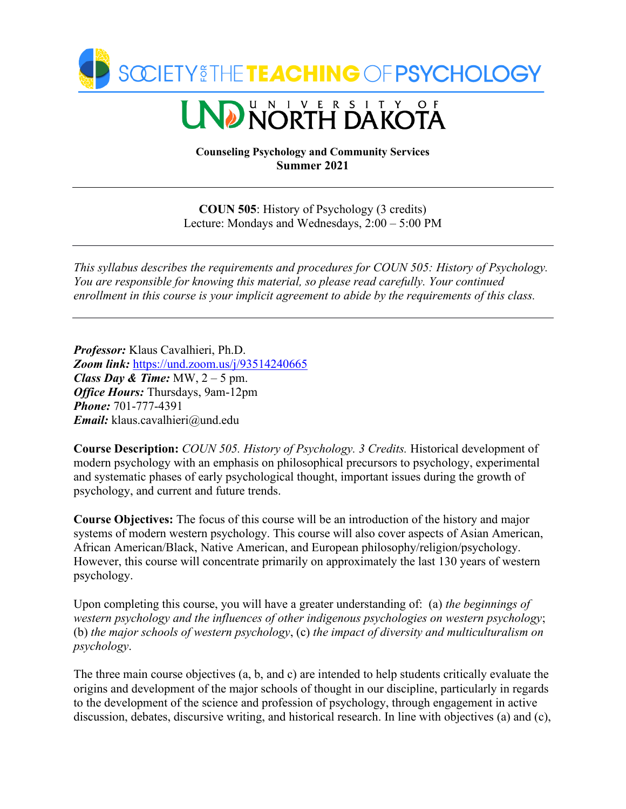

# **ND NORTH DAKOTA**

**Counseling Psychology and Community Services Summer 2021**

**COUN 505**: History of Psychology (3 credits) Lecture: Mondays and Wednesdays, 2:00 – 5:00 PM

*This syllabus describes the requirements and procedures for COUN 505: History of Psychology. You are responsible for knowing this material, so please read carefully. Your continued enrollment in this course is your implicit agreement to abide by the requirements of this class.*

*Professor:* Klaus Cavalhieri, Ph.D. *Zoom link:* <https://und.zoom.us/j/93514240665> *Class Day & Time:* MW,  $2 - 5$  pm. *Office Hours:* Thursdays, 9am-12pm *Phone:* 701-777-4391 *Email:* klaus.cavalhieri@und.edu

**Course Description:** *COUN 505. History of Psychology. 3 Credits.* Historical development of modern psychology with an emphasis on philosophical precursors to psychology, experimental and systematic phases of early psychological thought, important issues during the growth of psychology, and current and future trends.

**Course Objectives:** The focus of this course will be an introduction of the history and major systems of modern western psychology. This course will also cover aspects of Asian American, African American/Black, Native American, and European philosophy/religion/psychology. However, this course will concentrate primarily on approximately the last 130 years of western psychology.

Upon completing this course, you will have a greater understanding of: (a) *the beginnings of western psychology and the influences of other indigenous psychologies on western psychology*; (b) *the major schools of western psychology*, (c) *the impact of diversity and multiculturalism on psychology*.

The three main course objectives (a, b, and c) are intended to help students critically evaluate the origins and development of the major schools of thought in our discipline, particularly in regards to the development of the science and profession of psychology, through engagement in active discussion, debates, discursive writing, and historical research. In line with objectives (a) and (c),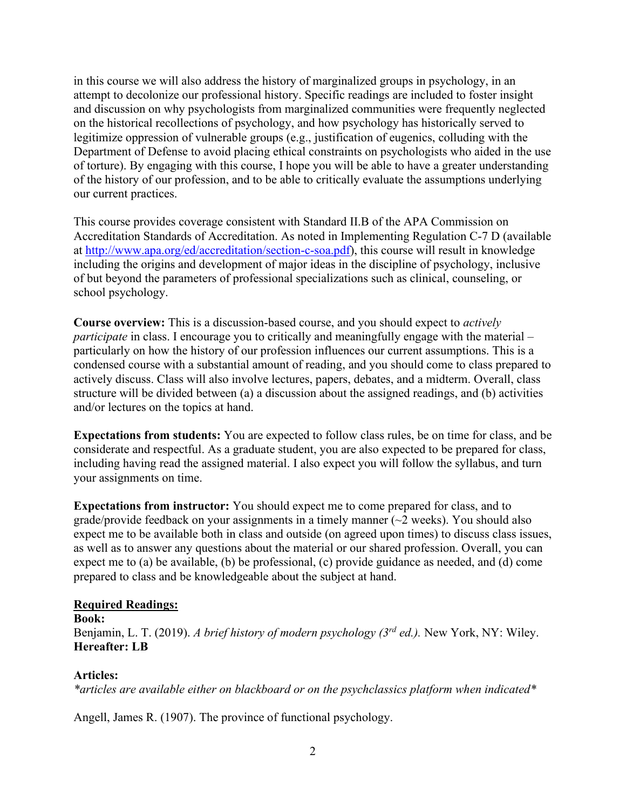in this course we will also address the history of marginalized groups in psychology, in an attempt to decolonize our professional history. Specific readings are included to foster insight and discussion on why psychologists from marginalized communities were frequently neglected on the historical recollections of psychology, and how psychology has historically served to legitimize oppression of vulnerable groups (e.g., justification of eugenics, colluding with the Department of Defense to avoid placing ethical constraints on psychologists who aided in the use of torture). By engaging with this course, I hope you will be able to have a greater understanding of the history of our profession, and to be able to critically evaluate the assumptions underlying our current practices.

This course provides coverage consistent with Standard II.B of the APA Commission on Accreditation Standards of Accreditation. As noted in Implementing Regulation C-7 D (available at [http://www.apa.org/ed/accreditation/section-c-soa.pdf\)](http://www.apa.org/ed/accreditation/section-c-soa.pdf), this course will result in knowledge including the origins and development of major ideas in the discipline of psychology, inclusive of but beyond the parameters of professional specializations such as clinical, counseling, or school psychology.

**Course overview:** This is a discussion-based course, and you should expect to *actively participate* in class. I encourage you to critically and meaningfully engage with the material – particularly on how the history of our profession influences our current assumptions. This is a condensed course with a substantial amount of reading, and you should come to class prepared to actively discuss. Class will also involve lectures, papers, debates, and a midterm. Overall, class structure will be divided between (a) a discussion about the assigned readings, and (b) activities and/or lectures on the topics at hand.

**Expectations from students:** You are expected to follow class rules, be on time for class, and be considerate and respectful. As a graduate student, you are also expected to be prepared for class, including having read the assigned material. I also expect you will follow the syllabus, and turn your assignments on time.

**Expectations from instructor:** You should expect me to come prepared for class, and to grade/provide feedback on your assignments in a timely manner  $(\sim 2 \text{ weeks})$ . You should also expect me to be available both in class and outside (on agreed upon times) to discuss class issues, as well as to answer any questions about the material or our shared profession. Overall, you can expect me to (a) be available, (b) be professional, (c) provide guidance as needed, and (d) come prepared to class and be knowledgeable about the subject at hand.

## **Required Readings:**

**Book:** Benjamin, L. T. (2019). *A brief history of modern psychology (3rd ed.).* New York, NY: Wiley. **Hereafter: LB**

## **Articles:**

*\*articles are available either on blackboard or on the psychclassics platform when indicated\**

Angell, James R. (1907). The province of functional psychology.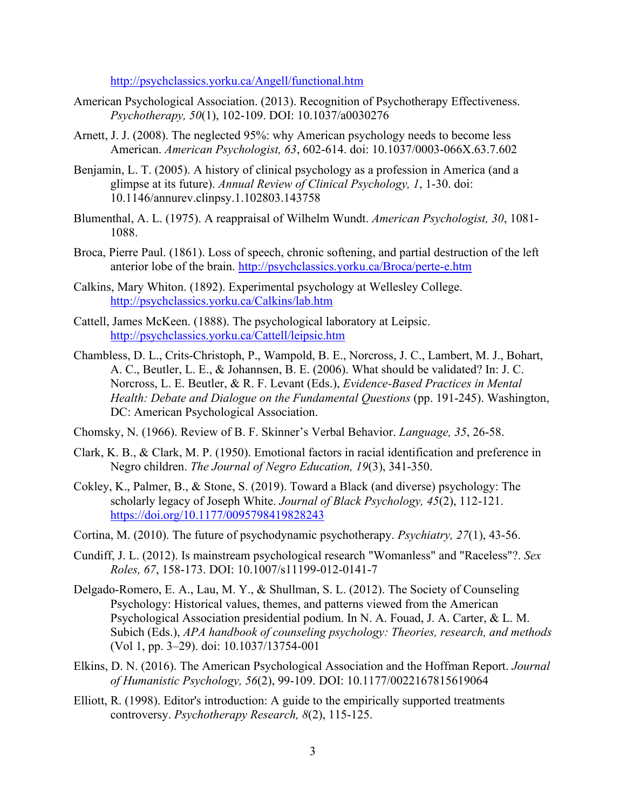<http://psychclassics.yorku.ca/Angell/functional.htm>

- American Psychological Association. (2013). Recognition of Psychotherapy Effectiveness. *Psychotherapy, 50*(1), 102-109. DOI: 10.1037/a0030276
- Arnett, J. J. (2008). The neglected 95%: why American psychology needs to become less American. *American Psychologist, 63*, 602-614. doi: 10.1037/0003-066X.63.7.602
- Benjamin, L. T. (2005). A history of clinical psychology as a profession in America (and a glimpse at its future). *Annual Review of Clinical Psychology, 1*, 1-30. doi: 10.1146/annurev.clinpsy.1.102803.143758
- Blumenthal, A. L. (1975). A reappraisal of Wilhelm Wundt. *American Psychologist, 30*, 1081- 1088.
- Broca, Pierre Paul. (1861). Loss of speech, chronic softening, and partial destruction of the left anterior lobe of the brain.<http://psychclassics.yorku.ca/Broca/perte-e.htm>
- Calkins, Mary Whiton. (1892). Experimental psychology at Wellesley College. <http://psychclassics.yorku.ca/Calkins/lab.htm>
- Cattell, James McKeen. (1888). The psychological laboratory at Leipsic. <http://psychclassics.yorku.ca/Cattell/leipsic.htm>
- Chambless, D. L., Crits-Christoph, P., Wampold, B. E., Norcross, J. C., Lambert, M. J., Bohart, A. C., Beutler, L. E., & Johannsen, B. E. (2006). What should be validated? In: J. C. Norcross, L. E. Beutler, & R. F. Levant (Eds.), *Evidence-Based Practices in Mental Health: Debate and Dialogue on the Fundamental Questions* (pp. 191-245). Washington, DC: American Psychological Association.
- Chomsky, N. (1966). Review of B. F. Skinner's Verbal Behavior. *Language, 35*, 26-58.
- Clark, K. B., & Clark, M. P. (1950). Emotional factors in racial identification and preference in Negro children. *The Journal of Negro Education, 19*(3), 341-350.
- Cokley, K., Palmer, B., & Stone, S. (2019). Toward a Black (and diverse) psychology: The scholarly legacy of Joseph White. *Journal of Black Psychology, 45*(2), 112-121. <https://doi.org/10.1177/0095798419828243>
- Cortina, M. (2010). The future of psychodynamic psychotherapy. *Psychiatry, 27*(1), 43-56.
- Cundiff, J. L. (2012). Is mainstream psychological research "Womanless" and "Raceless"?. *Sex Roles, 67*, 158-173. DOI: 10.1007/s11199-012-0141-7
- Delgado-Romero, E. A., Lau, M. Y., & Shullman, S. L. (2012). The Society of Counseling Psychology: Historical values, themes, and patterns viewed from the American Psychological Association presidential podium. In N. A. Fouad, J. A. Carter, & L. M. Subich (Eds.), *APA handbook of counseling psychology: Theories, research, and methods*  (Vol 1, pp. 3–29). doi: 10.1037/13754-001
- Elkins, D. N. (2016). The American Psychological Association and the Hoffman Report. *Journal of Humanistic Psychology, 56*(2), 99-109. DOI: 10.1177/0022167815619064
- Elliott, R. (1998). Editor's introduction: A guide to the empirically supported treatments controversy. *Psychotherapy Research, 8*(2), 115-125.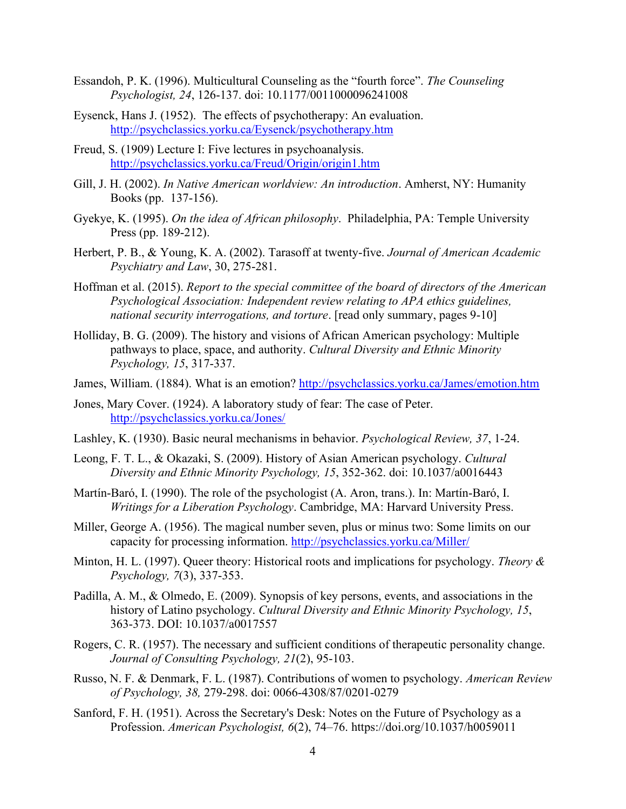- Essandoh, P. K. (1996). Multicultural Counseling as the "fourth force". *The Counseling Psychologist, 24*, 126-137. doi: 10.1177/0011000096241008
- Eysenck, Hans J. (1952). The effects of psychotherapy: An evaluation. <http://psychclassics.yorku.ca/Eysenck/psychotherapy.htm>
- Freud, S. (1909) Lecture I: Five lectures in psychoanalysis. <http://psychclassics.yorku.ca/Freud/Origin/origin1.htm>
- Gill, J. H. (2002). *In Native American worldview: An introduction*. Amherst, NY: Humanity Books (pp. 137-156).
- Gyekye, K. (1995). *On the idea of African philosophy*. Philadelphia, PA: Temple University Press (pp. 189-212).
- Herbert, P. B., & Young, K. A. (2002). Tarasoff at twenty-five. *Journal of American Academic Psychiatry and Law*, 30, 275-281.
- Hoffman et al. (2015). *Report to the special committee of the board of directors of the American Psychological Association: Independent review relating to APA ethics guidelines, national security interrogations, and torture*. [read only summary, pages 9-10]
- Holliday, B. G. (2009). The history and visions of African American psychology: Multiple pathways to place, space, and authority. *Cultural Diversity and Ethnic Minority Psychology, 15*, 317-337.
- James, William. (1884). What is an emotion?<http://psychclassics.yorku.ca/James/emotion.htm>
- Jones, Mary Cover. (1924). A laboratory study of fear: The case of Peter. <http://psychclassics.yorku.ca/Jones/>
- Lashley, K. (1930). Basic neural mechanisms in behavior. *Psychological Review, 37*, 1-24.
- Leong, F. T. L., & Okazaki, S. (2009). History of Asian American psychology. *Cultural Diversity and Ethnic Minority Psychology, 15*, 352-362. doi: 10.1037/a0016443
- Martín-Baró, I. (1990). The role of the psychologist (A. Aron, trans.). In: Martín-Baró, I. *Writings for a Liberation Psychology*. Cambridge, MA: Harvard University Press.
- Miller, George A. (1956). The magical number seven, plus or minus two: Some limits on our capacity for processing information.<http://psychclassics.yorku.ca/Miller/>
- Minton, H. L. (1997). Queer theory: Historical roots and implications for psychology. *Theory & Psychology, 7*(3), 337-353.
- Padilla, A. M., & Olmedo, E. (2009). Synopsis of key persons, events, and associations in the history of Latino psychology. *Cultural Diversity and Ethnic Minority Psychology, 15*, 363-373. DOI: 10.1037/a0017557
- Rogers, C. R. (1957). The necessary and sufficient conditions of therapeutic personality change. *Journal of Consulting Psychology, 21*(2), 95-103.
- Russo, N. F. & Denmark, F. L. (1987). Contributions of women to psychology. *American Review of Psychology, 38,* 279-298. doi: 0066-4308/87/0201-0279
- Sanford, F. H. (1951). Across the Secretary's Desk: Notes on the Future of Psychology as a Profession. *American Psychologist, 6*(2), 74–76. https://doi.org/10.1037/h0059011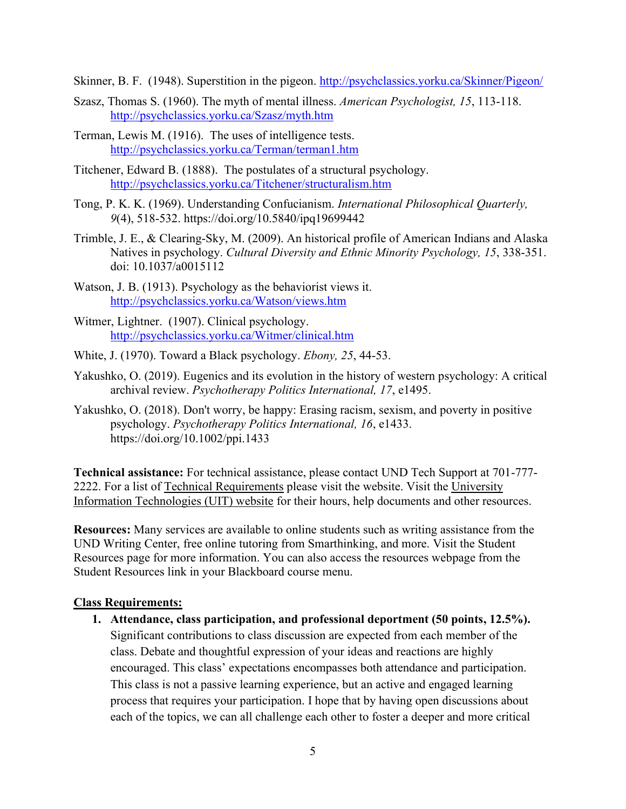Skinner, B. F. (1948). Superstition in the pigeon.<http://psychclassics.yorku.ca/Skinner/Pigeon/>

- Szasz, Thomas S. (1960). The myth of mental illness. *American Psychologist, 15*, 113-118. <http://psychclassics.yorku.ca/Szasz/myth.htm>
- Terman, Lewis M. (1916). The uses of intelligence tests. <http://psychclassics.yorku.ca/Terman/terman1.htm>
- Titchener, Edward B. (1888). The postulates of a structural psychology. <http://psychclassics.yorku.ca/Titchener/structuralism.htm>
- Tong, P. K. K. (1969). Understanding Confucianism. *International Philosophical Quarterly, 9*(4), 518-532. https://doi.org/10.5840/ipq19699442
- Trimble, J. E., & Clearing-Sky, M. (2009). An historical profile of American Indians and Alaska Natives in psychology. *Cultural Diversity and Ethnic Minority Psychology, 15*, 338-351. doi: 10.1037/a0015112
- Watson, J. B. (1913). Psychology as the behaviorist views it. <http://psychclassics.yorku.ca/Watson/views.htm>
- Witmer, Lightner. (1907). Clinical psychology. <http://psychclassics.yorku.ca/Witmer/clinical.htm>
- White, J. (1970). Toward a Black psychology. *Ebony, 25*, 44-53.
- Yakushko, O. (2019). Eugenics and its evolution in the history of western psychology: A critical archival review. *Psychotherapy Politics International, 17*, e1495.
- Yakushko, O. (2018). Don't worry, be happy: Erasing racism, sexism, and poverty in positive psychology. *Psychotherapy Politics International, 16*, e1433. https://doi.org/10.1002/ppi.1433

**Technical assistance:** For technical assistance, please contact UND Tech Support at 701-777- 2222. For a list of [Technical Requirements](https://und.teamdynamix.com/TDClient/2048/Portal/KB/ArticleDet?ID=87214) please visit the website. Visit the [University](https://campus.und.edu/campus-services/uit/)  [Information Technologies \(UIT\) website](https://campus.und.edu/campus-services/uit/) for their hours, help documents and other resources.

**Resources:** Many services are available to online students such as writing assistance from the UND Writing Center, free online tutoring from Smarthinking, and more. Visit the Student Resources page for more information. You can also access the resources webpage from the Student Resources link in your Blackboard course menu.

## **Class Requirements:**

**1. Attendance, class participation, and professional deportment (50 points, 12.5%).**  Significant contributions to class discussion are expected from each member of the class. Debate and thoughtful expression of your ideas and reactions are highly encouraged. This class' expectations encompasses both attendance and participation. This class is not a passive learning experience, but an active and engaged learning process that requires your participation. I hope that by having open discussions about each of the topics, we can all challenge each other to foster a deeper and more critical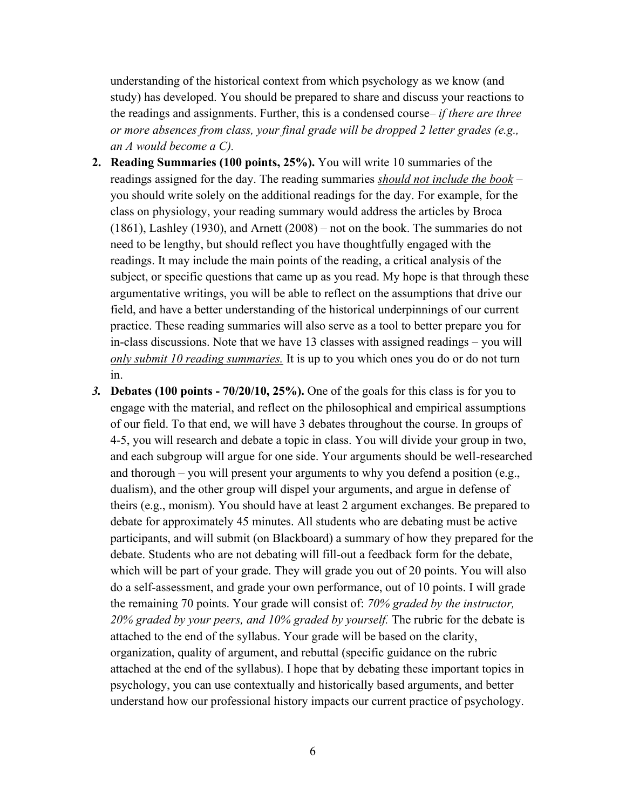understanding of the historical context from which psychology as we know (and study) has developed. You should be prepared to share and discuss your reactions to the readings and assignments. Further, this is a condensed course– *if there are three or more absences from class, your final grade will be dropped 2 letter grades (e.g., an A would become a C).*

- **2. Reading Summaries (100 points, 25%).** You will write 10 summaries of the readings assigned for the day. The reading summaries *should not include the book* – you should write solely on the additional readings for the day. For example, for the class on physiology, your reading summary would address the articles by Broca (1861), Lashley (1930), and Arnett (2008) – not on the book. The summaries do not need to be lengthy, but should reflect you have thoughtfully engaged with the readings. It may include the main points of the reading, a critical analysis of the subject, or specific questions that came up as you read. My hope is that through these argumentative writings, you will be able to reflect on the assumptions that drive our field, and have a better understanding of the historical underpinnings of our current practice. These reading summaries will also serve as a tool to better prepare you for in-class discussions. Note that we have 13 classes with assigned readings – you will *only submit 10 reading summaries.* It is up to you which ones you do or do not turn in.
- *3.* **Debates (100 points - 70/20/10, 25%).** One of the goals for this class is for you to engage with the material, and reflect on the philosophical and empirical assumptions of our field. To that end, we will have 3 debates throughout the course. In groups of 4-5, you will research and debate a topic in class. You will divide your group in two, and each subgroup will argue for one side. Your arguments should be well-researched and thorough – you will present your arguments to why you defend a position (e.g., dualism), and the other group will dispel your arguments, and argue in defense of theirs (e.g., monism). You should have at least 2 argument exchanges. Be prepared to debate for approximately 45 minutes. All students who are debating must be active participants, and will submit (on Blackboard) a summary of how they prepared for the debate. Students who are not debating will fill-out a feedback form for the debate, which will be part of your grade. They will grade you out of 20 points. You will also do a self-assessment, and grade your own performance, out of 10 points. I will grade the remaining 70 points. Your grade will consist of: *70% graded by the instructor, 20% graded by your peers, and 10% graded by yourself.* The rubric for the debate is attached to the end of the syllabus. Your grade will be based on the clarity, organization, quality of argument, and rebuttal (specific guidance on the rubric attached at the end of the syllabus). I hope that by debating these important topics in psychology, you can use contextually and historically based arguments, and better understand how our professional history impacts our current practice of psychology.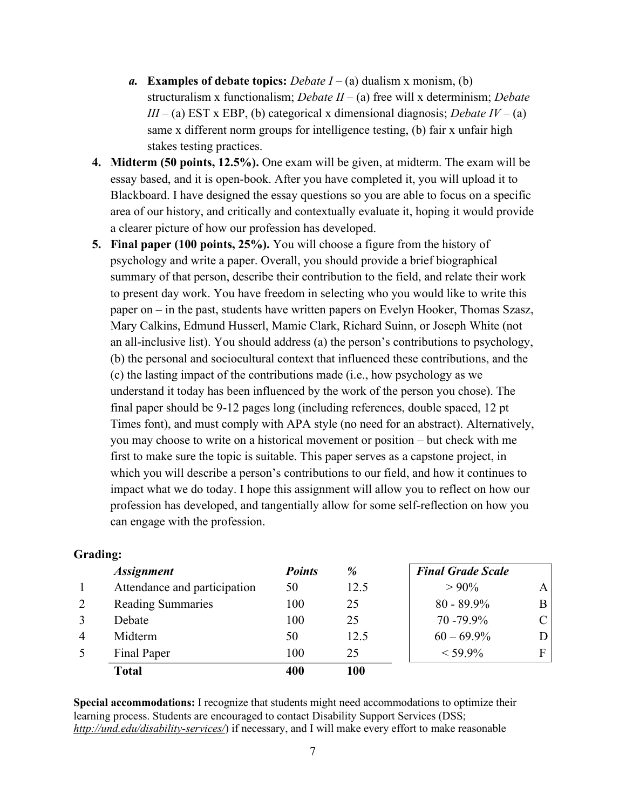- *a.* **Examples of debate topics:** *Debate I* (a) dualism x monism, (b) structuralism x functionalism; *Debate II* – (a) free will x determinism; *Debate III* – (a) EST x EBP, (b) categorical x dimensional diagnosis; *Debate IV* – (a) same x different norm groups for intelligence testing, (b) fair x unfair high stakes testing practices.
- **4. Midterm (50 points, 12.5%).** One exam will be given, at midterm. The exam will be essay based, and it is open-book. After you have completed it, you will upload it to Blackboard. I have designed the essay questions so you are able to focus on a specific area of our history, and critically and contextually evaluate it, hoping it would provide a clearer picture of how our profession has developed.
- **5. Final paper (100 points, 25%).** You will choose a figure from the history of psychology and write a paper. Overall, you should provide a brief biographical summary of that person, describe their contribution to the field, and relate their work to present day work. You have freedom in selecting who you would like to write this paper on – in the past, students have written papers on Evelyn Hooker, Thomas Szasz, Mary Calkins, Edmund Husserl, Mamie Clark, Richard Suinn, or Joseph White (not an all-inclusive list). You should address (a) the person's contributions to psychology, (b) the personal and sociocultural context that influenced these contributions, and the (c) the lasting impact of the contributions made (i.e., how psychology as we understand it today has been influenced by the work of the person you chose). The final paper should be 9-12 pages long (including references, double spaced, 12 pt Times font), and must comply with APA style (no need for an abstract). Alternatively, you may choose to write on a historical movement or position – but check with me first to make sure the topic is suitable. This paper serves as a capstone project, in which you will describe a person's contributions to our field, and how it continues to impact what we do today. I hope this assignment will allow you to reflect on how our profession has developed, and tangentially allow for some self-reflection on how you can engage with the profession.

|   | <b>Assignment</b>            | <b>Points</b> | %    | <b>Final Grade Scale</b> |             |
|---|------------------------------|---------------|------|--------------------------|-------------|
|   | Attendance and participation | 50            | 12.5 | $>90\%$                  | A           |
|   | <b>Reading Summaries</b>     | 100           | 25   | $80 - 89.9\%$            |             |
|   | Debate                       | 100           | 25   | $70 - 79.9\%$            | $\mathbf C$ |
| 4 | Midterm                      | 50            | 12.5 | $60 - 69.9\%$            |             |
|   | Final Paper                  | 100           | 25   | $<$ 59.9%                |             |
|   | <b>Total</b>                 | 400           | 100  |                          |             |

### **Grading:**

**Special accommodations:** I recognize that students might need accommodations to optimize their learning process. Students are encouraged to contact Disability Support Services (DSS; *<http://und.edu/disability-services/>*) if necessary, and I will make every effort to make reasonable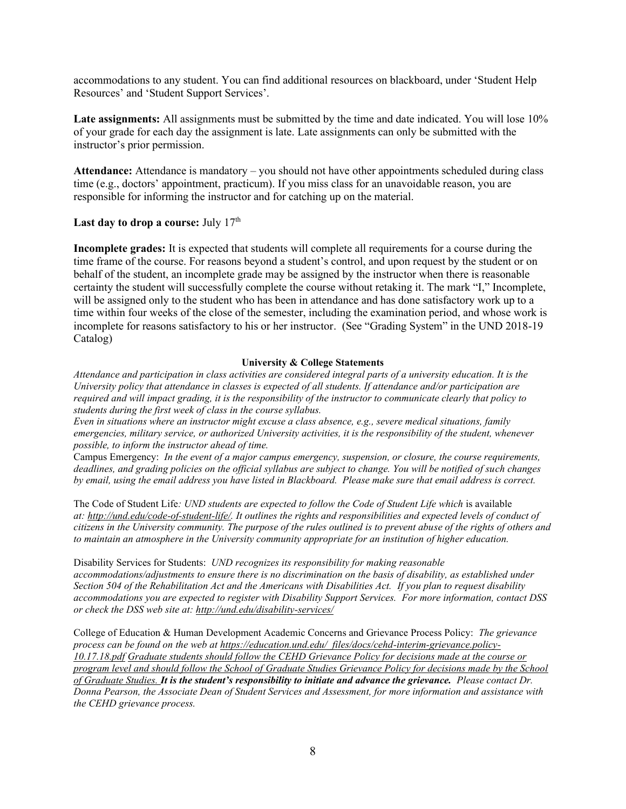accommodations to any student. You can find additional resources on blackboard, under 'Student Help Resources' and 'Student Support Services'.

Late assignments: All assignments must be submitted by the time and date indicated. You will lose 10% of your grade for each day the assignment is late. Late assignments can only be submitted with the instructor's prior permission.

**Attendance:** Attendance is mandatory – you should not have other appointments scheduled during class time (e.g., doctors' appointment, practicum). If you miss class for an unavoidable reason, you are responsible for informing the instructor and for catching up on the material.

#### Last day to drop a course: July 17<sup>th</sup>

**Incomplete grades:** It is expected that students will complete all requirements for a course during the time frame of the course. For reasons beyond a student's control, and upon request by the student or on behalf of the student, an incomplete grade may be assigned by the instructor when there is reasonable certainty the student will successfully complete the course without retaking it. The mark "I," Incomplete, will be assigned only to the student who has been in attendance and has done satisfactory work up to a time within four weeks of the close of the semester, including the examination period, and whose work is incomplete for reasons satisfactory to his or her instructor[. \(See "Grading System" in the UND 2018](http://und-public.courseleaf.com/undergraduateacademicinformation/undergraduateacademicinformation/thegradingsystem/)-19 [Catalog\)](http://und-public.courseleaf.com/undergraduateacademicinformation/undergraduateacademicinformation/thegradingsystem/)

#### **University & College Statements**

*Attendance and participation in class activities are considered integral parts of a university education. It is the University policy that attendance in classes is expected of all students. If attendance and/or participation are required and will impact grading, it is the responsibility of the instructor to communicate clearly that policy to students during the first week of class in the course syllabus.*

*Even in situations where an instructor might excuse a class absence, e.g., severe medical situations, family emergencies, military service, or authorized University activities, it is the responsibility of the student, whenever possible, to inform the instructor ahead of time.*

Campus Emergency: *In the event of a major campus emergency, suspension, or closure, the course requirements, deadlines, and grading policies on the official syllabus are subject to change. You will be notified of such changes by email, using the email address you have listed in Blackboard. Please make sure that email address is correct.*

The Code of Student Life*: UND students are expected to follow the Code of Student Life which* is available *at: [http://und.edu/code-of-student-life/.](http://und.edu/code-of-student-life/) It outlines the rights and responsibilities and expected levels of conduct of citizens in the University community. The purpose of the rules outlined is to prevent abuse of the rights of others and to maintain an atmosphere in the University community appropriate for an institution of higher education.*

Disability Services for Students: *UND recognizes its responsibility for making reasonable accommodations/adjustments to ensure there is no discrimination on the basis of disability, as established under Section 504 of the Rehabilitation Act and the Americans with Disabilities Act. If you plan to request disability accommodations you are expected to register with Disability Support Services. For more information, contact DSS or check the DSS web site at[: http://und.edu/disability-services/](http://und.edu/disability-services/)*

College of Education & Human Development Academic Concerns and Grievance Process Policy: *The grievance process can be found on the web at [https://education.und.edu/\\_files/docs/cehd-interim-grievance.policy-](https://education.und.edu/_files/docs/cehd-interim-grievance.policy-10.17.18.pdf)[10.17.18.pdf](https://education.und.edu/_files/docs/cehd-interim-grievance.policy-10.17.18.pdf) Graduate students should follow the CEHD Grievance Policy for decisions made at the course or program level and should follow the School of Graduate Studies Grievance Policy for decisions made by the School of Graduate Studies. It is the student's responsibility to initiate and advance the grievance. Please contact Dr. Donna Pearson, the Associate Dean of Student Services and Assessment, for more information and assistance with the CEHD grievance process.*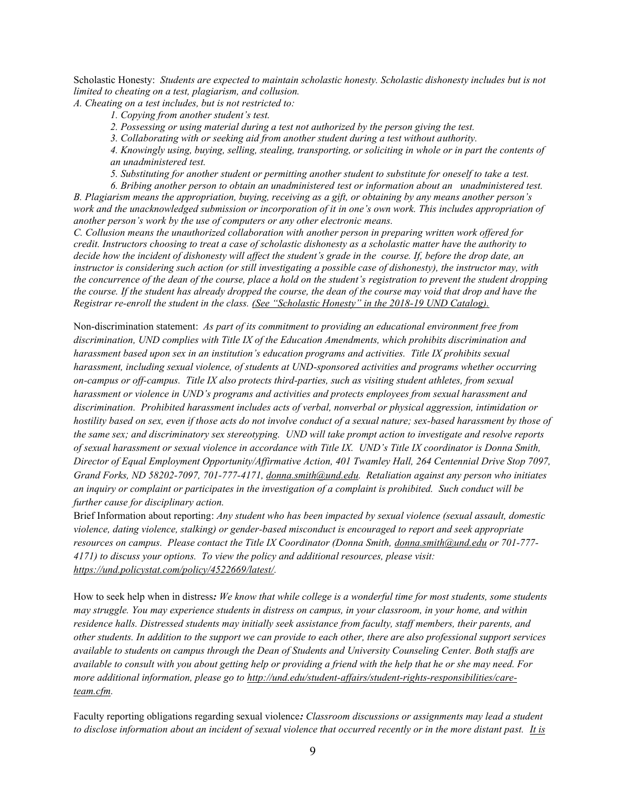Scholastic Honesty: *Students are expected to maintain scholastic honesty. Scholastic dishonesty includes but is not limited to cheating on a test, plagiarism, and collusion.*

*A. Cheating on a test includes, but is not restricted to:*

- *1. Copying from another student's test.*
- *2. Possessing or using material during a test not authorized by the person giving the test.*

*3. Collaborating with or seeking aid from another student during a test without authority.*

*4. Knowingly using, buying, selling, stealing, transporting, or soliciting in whole or in part the contents of an unadministered test.*

*5. Substituting for another student or permitting another student to substitute for oneself to take a test.*

*6. Bribing another person to obtain an unadministered test or information about an unadministered test. B. Plagiarism means the appropriation, buying, receiving as a gift, or obtaining by any means another person's work and the unacknowledged submission or incorporation of it in one's own work. This includes appropriation of another person's work by the use of computers or any other electronic means.*

*C. Collusion means the unauthorized collaboration with another person in preparing written work offered for credit. Instructors choosing to treat a case of scholastic dishonesty as a scholastic matter have the authority to decide how the incident of dishonesty will affect the student's grade in the course. If, before the drop date, an instructor is considering such action (or still investigating a possible case of dishonesty), the instructor may, with the concurrence of the dean of the course, place a hold on the student's registration to prevent the student dropping the course. If the student has already dropped the course, the dean of the course may void that drop and have the Registrar re-enroll the student in the class. [\(See "Scholastic Honesty" in the 2018](http://und-public.courseleaf.com/undergraduateacademicinformation/undergraduateacademicinformation/scholastichonesty/)-19 UND Catalog).*

Non-discrimination statement: *As part of its commitment to providing an educational environment free from discrimination, UND complies with Title IX of the Education Amendments, which prohibits discrimination and harassment based upon sex in an institution's education programs and activities. Title IX prohibits sexual harassment, including sexual violence, of students at UND-sponsored activities and programs whether occurring on-campus or off-campus. Title IX also protects third-parties, such as visiting student athletes, from sexual harassment or violence in UND's programs and activities and protects employees from sexual harassment and discrimination. Prohibited harassment includes acts of verbal, nonverbal or physical aggression, intimidation or hostility based on sex, even if those acts do not involve conduct of a sexual nature; sex-based harassment by those of the same sex; and discriminatory sex stereotyping. UND will take prompt action to investigate and resolve reports of sexual harassment or sexual violence in accordance with Title IX. UND's Title IX coordinator is Donna Smith, Director of Equal Employment Opportunity/Affirmative Action, 401 Twamley Hall, 264 Centennial Drive Stop 7097, Grand Forks, ND 58202-7097, 701-777-4171, [donna.smith@und.edu.](mailto:donna.smith@und.edu) Retaliation against any person who initiates an inquiry or complaint or participates in the investigation of a complaint is prohibited. Such conduct will be further cause for disciplinary action.*

Brief Information about reporting: *Any student who has been impacted by sexual violence (sexual assault, domestic violence, dating violence, stalking) or gender-based misconduct is encouraged to report and seek appropriate resources on campus. Please contact the Title IX Coordinator (Donna Smith, [donna.smith@und.edu](mailto:donna.smith@und.edu) or 701-777- 4171) to discuss your options. To view the policy and additional resources, please visit: [https://und.policystat.com/policy/4522669/latest/.](https://und.policystat.com/policy/4522669/latest/)*

How to seek help when in distress*: We know that while college is a wonderful time for most students, some students may struggle. You may experience students in distress on campus, in your classroom, in your home, and within residence halls. Distressed students may initially seek assistance from faculty, staff members, their parents, and other students. In addition to the support we can provide to each other, there are also professional support services available to students on campus through the Dean of Students and University Counseling Center. Both staffs are available to consult with you about getting help or providing a friend with the help that he or she may need. For more additional information, please go t[o http://und.edu/student-affairs/student-rights-responsibilities/care](http://und.edu/student-affairs/student-rights-responsibilities/care-team.cfm)[team.cfm.](http://und.edu/student-affairs/student-rights-responsibilities/care-team.cfm)*

Faculty reporting obligations regarding sexual violence*: Classroom discussions or assignments may lead a student to disclose information about an incident of sexual violence that occurred recently or in the more distant past. It is*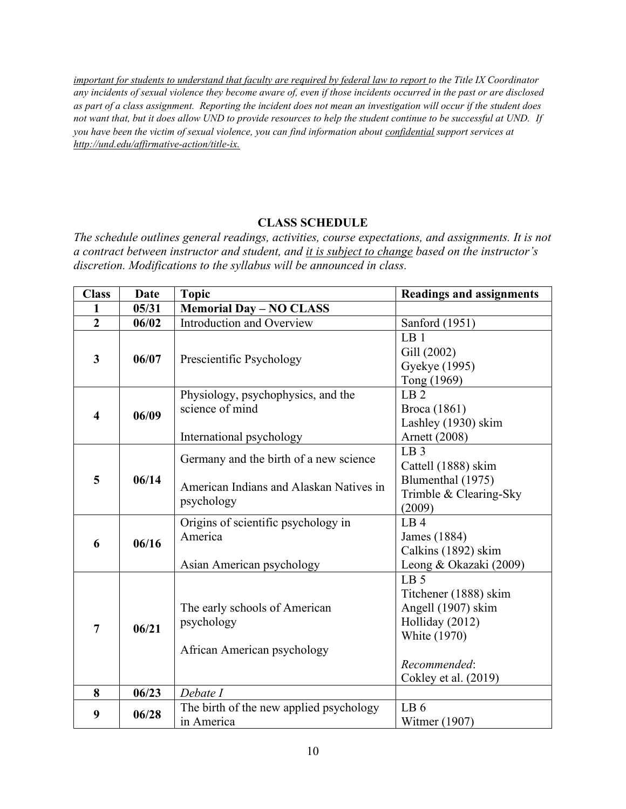*important for students to understand that faculty are required by federal law to report to the Title IX Coordinator any incidents of sexual violence they become aware of, even if those incidents occurred in the past or are disclosed as part of a class assignment. Reporting the incident does not mean an investigation will occur if the student does not want that, but it does allow UND to provide resources to help the student continue to be successful at UND. If you have been the victim of sexual violence, you can find information about confidential support services at <http://und.edu/affirmative-action/title-ix.>*

## **CLASS SCHEDULE**

*The schedule outlines general readings, activities, course expectations, and assignments. It is not a contract between instructor and student, and it is subject to change based on the instructor's discretion. Modifications to the syllabus will be announced in class.*

| <b>Class</b>            | <b>Date</b> | <b>Topic</b>                                                                                    | <b>Readings and assignments</b>                                                                                                                  |
|-------------------------|-------------|-------------------------------------------------------------------------------------------------|--------------------------------------------------------------------------------------------------------------------------------------------------|
| 1                       | 05/31       | <b>Memorial Day - NO CLASS</b>                                                                  |                                                                                                                                                  |
| $\overline{2}$          | 06/02       | Introduction and Overview                                                                       | Sanford (1951)                                                                                                                                   |
| $\overline{\mathbf{3}}$ | 06/07       | Prescientific Psychology                                                                        | LB <sub>1</sub><br>Gill (2002)<br>Gyekye (1995)<br>Tong (1969)                                                                                   |
| $\overline{\mathbf{4}}$ | 06/09       | Physiology, psychophysics, and the<br>science of mind<br>International psychology               | LB <sub>2</sub><br>Broca (1861)<br>Lashley (1930) skim<br>Arnett (2008)                                                                          |
| 5                       | 06/14       | Germany and the birth of a new science<br>American Indians and Alaskan Natives in<br>psychology | LB <sub>3</sub><br>Cattell (1888) skim<br>Blumenthal (1975)<br>Trimble & Clearing-Sky<br>(2009)                                                  |
| 6                       | 06/16       | Origins of scientific psychology in<br>America<br>Asian American psychology                     | LB4<br>James (1884)<br>Calkins (1892) skim<br>Leong & Okazaki (2009)                                                                             |
| $\overline{7}$          | 06/21       | The early schools of American<br>psychology<br>African American psychology                      | LB <sub>5</sub><br>Titchener (1888) skim<br>Angell (1907) skim<br>Holliday (2012)<br><b>White (1970)</b><br>Recommended:<br>Cokley et al. (2019) |
| 8                       | 06/23       | Debate I                                                                                        |                                                                                                                                                  |
| 9                       | 06/28       | The birth of the new applied psychology<br>in America                                           | LB <sub>6</sub><br>Witmer (1907)                                                                                                                 |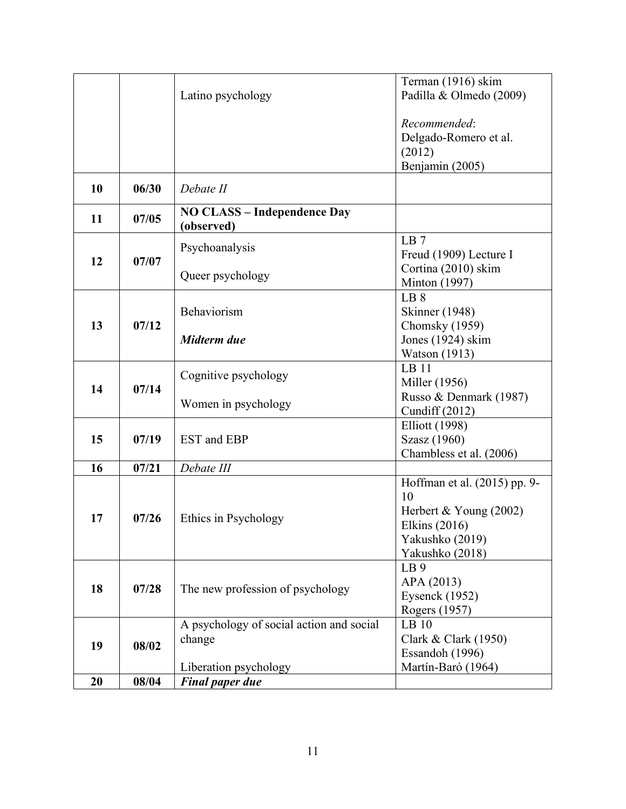|    |       |                                                  | Terman (1916) skim                    |
|----|-------|--------------------------------------------------|---------------------------------------|
|    |       | Latino psychology                                | Padilla & Olmedo (2009)               |
|    |       |                                                  |                                       |
|    |       |                                                  | Recommended:                          |
|    |       |                                                  | Delgado-Romero et al.                 |
|    |       |                                                  | (2012)                                |
|    |       |                                                  | Benjamin (2005)                       |
| 10 | 06/30 | Debate II                                        |                                       |
| 11 | 07/05 | <b>NO CLASS - Independence Day</b><br>(observed) |                                       |
|    | 07/07 |                                                  | LB7                                   |
| 12 |       | Psychoanalysis                                   | Freud (1909) Lecture I                |
|    |       |                                                  | Cortina (2010) skim                   |
|    |       | Queer psychology                                 | Minton (1997)                         |
|    |       |                                                  | LB 8                                  |
|    |       | Behaviorism                                      | <b>Skinner</b> (1948)                 |
| 13 | 07/12 | Midterm due                                      | Chomsky (1959)                        |
|    |       |                                                  | Jones (1924) skim                     |
|    |       |                                                  | <b>Watson</b> (1913)                  |
|    | 07/14 | Cognitive psychology                             | LB <sub>11</sub>                      |
| 14 |       |                                                  | Miller (1956)                         |
|    |       | Women in psychology                              | Russo & Denmark (1987)                |
|    |       |                                                  | Cundiff $(2012)$                      |
| 15 | 07/19 | EST and EBP                                      | <b>Elliott</b> (1998)<br>Szasz (1960) |
|    |       |                                                  | Chambless et al. (2006)               |
| 16 | 07/21 | Debate III                                       |                                       |
|    |       |                                                  | Hoffman et al. (2015) pp. 9-          |
|    | 07/26 | Ethics in Psychology                             | 10                                    |
|    |       |                                                  | Herbert & Young $(2002)$              |
| 17 |       |                                                  | Elkins (2016)                         |
|    |       |                                                  | Yakushko (2019)                       |
|    |       |                                                  | Yakushko (2018)                       |
|    | 07/28 | The new profession of psychology                 | LB <sub>9</sub>                       |
|    |       |                                                  | APA (2013)                            |
| 18 |       |                                                  | Eysenck $(1952)$                      |
|    |       |                                                  | Rogers (1957)                         |
|    | 08/02 | A psychology of social action and social         | LB <sub>10</sub>                      |
| 19 |       | change                                           | Clark & Clark (1950)                  |
|    |       |                                                  | Essandoh (1996)                       |
|    |       | Liberation psychology                            | Martín-Baró (1964)                    |
| 20 | 08/04 | <b>Final paper due</b>                           |                                       |